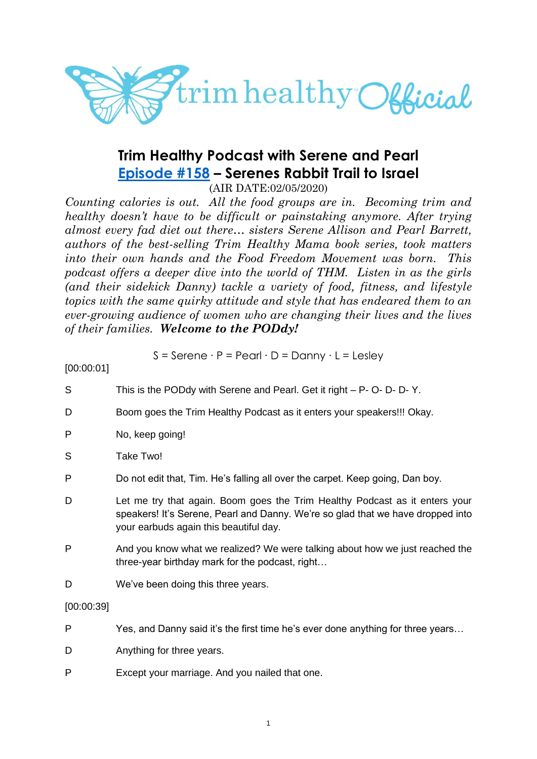

# **Trim Healthy Podcast with Serene and Pearl [Episode #158](https://cms.megaphone.fm/channel/trimhealthypodcast?selected=ADL5405132637) – Serenes Rabbit Trail to Israel**

(AIR DATE:02/05/2020)

*Counting calories is out. All the food groups are in. Becoming trim and healthy doesn't have to be difficult or painstaking anymore. After trying almost every fad diet out there… sisters Serene Allison and Pearl Barrett, authors of the best-selling Trim Healthy Mama book series, took matters into their own hands and the Food Freedom Movement was born. This podcast offers a deeper dive into the world of THM. Listen in as the girls (and their sidekick Danny) tackle a variety of food, fitness, and lifestyle topics with the same quirky attitude and style that has endeared them to an ever-growing audience of women who are changing their lives and the lives of their families. Welcome to the PODdy!*

$$
S =
$$
Serene · P = Pearl · D = Danny · L = Lesley

[00:00:01]

- S This is the PODdy with Serene and Pearl. Get it right P- O- D- D- Y.
- D Boom goes the Trim Healthy Podcast as it enters your speakers!!! Okay.
- P No, keep going!
- S Take Two!
- P Do not edit that, Tim. He's falling all over the carpet. Keep going, Dan boy.
- D Let me try that again. Boom goes the Trim Healthy Podcast as it enters your speakers! It's Serene, Pearl and Danny. We're so glad that we have dropped into your earbuds again this beautiful day.
- P And you know what we realized? We were talking about how we just reached the three-year birthday mark for the podcast, right…
- D We've been doing this three years.

### [00:00:39]

- P Yes, and Danny said it's the first time he's ever done anything for three years…
- D Anything for three years.
- P Except your marriage. And you nailed that one.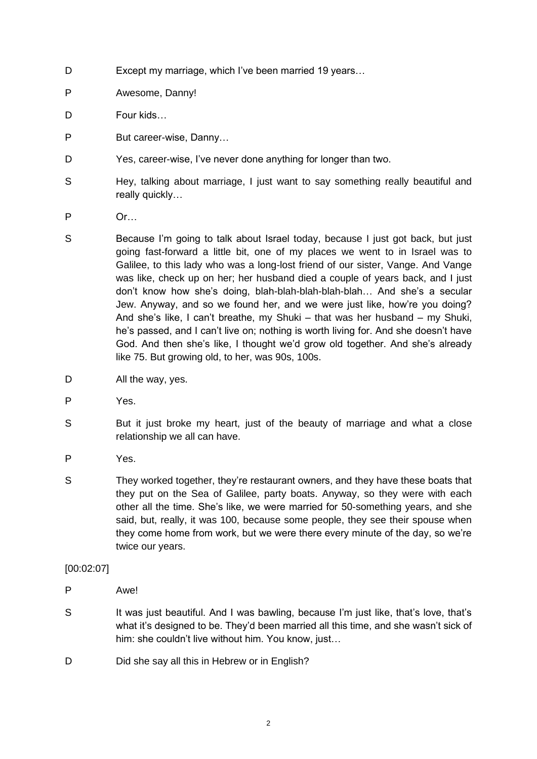- D Except my marriage, which I've been married 19 years...
- P Awesome, Danny!
- D Four kids…
- P But career-wise, Danny…
- D Yes, career-wise, I've never done anything for longer than two.
- S Hey, talking about marriage, I just want to say something really beautiful and really quickly…
- P Or…
- S Because I'm going to talk about Israel today, because I just got back, but just going fast-forward a little bit, one of my places we went to in Israel was to Galilee, to this lady who was a long-lost friend of our sister, Vange. And Vange was like, check up on her; her husband died a couple of years back, and I just don't know how she's doing, blah-blah-blah-blah-blah… And she's a secular Jew. Anyway, and so we found her, and we were just like, how're you doing? And she's like, I can't breathe, my Shuki – that was her husband – my Shuki, he's passed, and I can't live on; nothing is worth living for. And she doesn't have God. And then she's like, I thought we'd grow old together. And she's already like 75. But growing old, to her, was 90s, 100s.
- D All the way, yes.
- P Yes.
- S But it just broke my heart, just of the beauty of marriage and what a close relationship we all can have.
- P Yes.
- S They worked together, they're restaurant owners, and they have these boats that they put on the Sea of Galilee, party boats. Anyway, so they were with each other all the time. She's like, we were married for 50-something years, and she said, but, really, it was 100, because some people, they see their spouse when they come home from work, but we were there every minute of the day, so we're twice our years.

### [00:02:07]

- P Awe!
- S It was just beautiful. And I was bawling, because I'm just like, that's love, that's what it's designed to be. They'd been married all this time, and she wasn't sick of him: she couldn't live without him. You know, just…
- D Did she say all this in Hebrew or in English?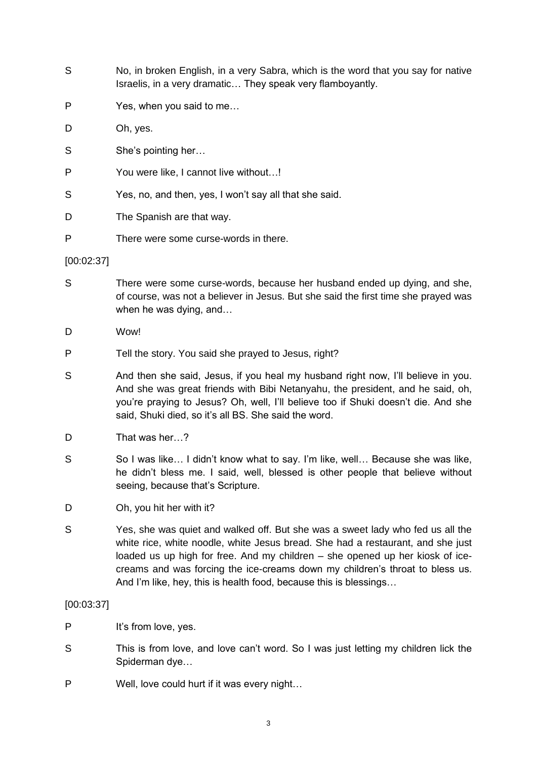- S No, in broken English, in a very Sabra, which is the word that you say for native Israelis, in a very dramatic… They speak very flamboyantly.
- P Yes, when you said to me…
- D Oh, yes.
- S She's pointing her...
- P You were like, I cannot live without…!
- S Yes, no, and then, yes, I won't say all that she said.

D The Spanish are that way.

P There were some curse-words in there.

#### [00:02:37]

- S There were some curse-words, because her husband ended up dying, and she, of course, was not a believer in Jesus. But she said the first time she prayed was when he was dying, and…
- D Wow!
- P Tell the story. You said she prayed to Jesus, right?
- S And then she said, Jesus, if you heal my husband right now, I'll believe in you. And she was great friends with Bibi Netanyahu, the president, and he said, oh, you're praying to Jesus? Oh, well, I'll believe too if Shuki doesn't die. And she said, Shuki died, so it's all BS. She said the word.
- D That was her…?
- S So I was like... I didn't know what to say. I'm like, well... Because she was like, he didn't bless me. I said, well, blessed is other people that believe without seeing, because that's Scripture.
- D Oh, you hit her with it?
- S Yes, she was quiet and walked off. But she was a sweet lady who fed us all the white rice, white noodle, white Jesus bread. She had a restaurant, and she just loaded us up high for free. And my children – she opened up her kiosk of icecreams and was forcing the ice-creams down my children's throat to bless us. And I'm like, hey, this is health food, because this is blessings…

#### [00:03:37]

- P It's from love, yes.
- S This is from love, and love can't word. So I was just letting my children lick the Spiderman dye…
- P Well, love could hurt if it was every night…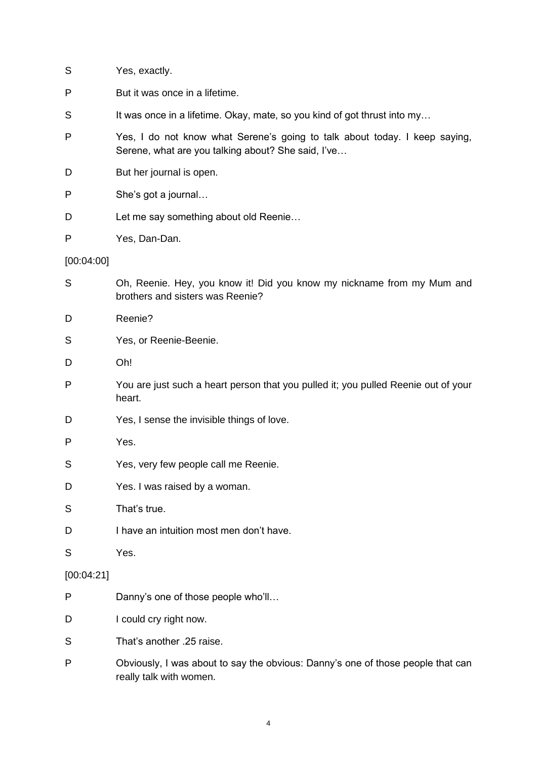| S          | Yes, exactly.                                                                                                                    |
|------------|----------------------------------------------------------------------------------------------------------------------------------|
| P          | But it was once in a lifetime.                                                                                                   |
| S          | It was once in a lifetime. Okay, mate, so you kind of got thrust into my                                                         |
| Ρ          | Yes, I do not know what Serene's going to talk about today. I keep saying,<br>Serene, what are you talking about? She said, I've |
| D          | But her journal is open.                                                                                                         |
| P          | She's got a journal                                                                                                              |
| D          | Let me say something about old Reenie                                                                                            |
| P          | Yes, Dan-Dan.                                                                                                                    |
| [00:04:00] |                                                                                                                                  |
| S          | Oh, Reenie. Hey, you know it! Did you know my nickname from my Mum and<br>brothers and sisters was Reenie?                       |
| D          | Reenie?                                                                                                                          |
| S          | Yes, or Reenie-Beenie.                                                                                                           |
| D          | Oh!                                                                                                                              |
| P          | You are just such a heart person that you pulled it; you pulled Reenie out of your<br>heart.                                     |
| D          | Yes, I sense the invisible things of love.                                                                                       |
| Ρ          | Yes.                                                                                                                             |
| S          | Yes, very few people call me Reenie.                                                                                             |
| D          | Yes. I was raised by a woman.                                                                                                    |
| S          | That's true.                                                                                                                     |
| D          | I have an intuition most men don't have.                                                                                         |
| S          | Yes.                                                                                                                             |
| [00:04:21] |                                                                                                                                  |
| P          | Danny's one of those people who'll                                                                                               |
| D          | I could cry right now.                                                                                                           |
| S          | That's another .25 raise.                                                                                                        |
| P          | Obviously, I was about to say the obvious: Danny's one of those people that can<br>really talk with women.                       |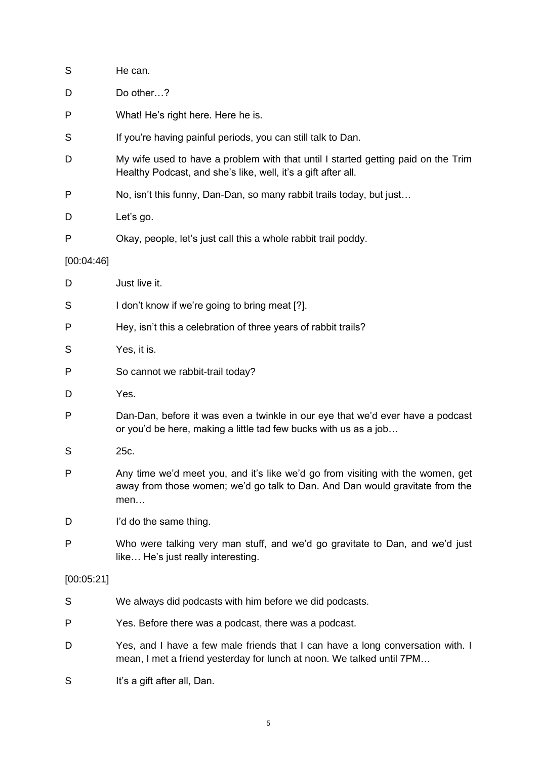| S            | He can.                                                                                                                                                                |
|--------------|------------------------------------------------------------------------------------------------------------------------------------------------------------------------|
| D            | Do other?                                                                                                                                                              |
| P            | What! He's right here. Here he is.                                                                                                                                     |
| S            | If you're having painful periods, you can still talk to Dan.                                                                                                           |
| D            | My wife used to have a problem with that until I started getting paid on the Trim<br>Healthy Podcast, and she's like, well, it's a gift after all.                     |
| P            | No, isn't this funny, Dan-Dan, so many rabbit trails today, but just                                                                                                   |
| D            | Let's go.                                                                                                                                                              |
| P            | Okay, people, let's just call this a whole rabbit trail poddy.                                                                                                         |
| [00:04:46]   |                                                                                                                                                                        |
| D            | Just live it.                                                                                                                                                          |
| S            | I don't know if we're going to bring meat [?].                                                                                                                         |
| P            | Hey, isn't this a celebration of three years of rabbit trails?                                                                                                         |
| S            | Yes, it is.                                                                                                                                                            |
| P            | So cannot we rabbit-trail today?                                                                                                                                       |
| D            | Yes.                                                                                                                                                                   |
| P            | Dan-Dan, before it was even a twinkle in our eye that we'd ever have a podcast<br>or you'd be here, making a little tad few bucks with us as a job                     |
| S            | 25c.                                                                                                                                                                   |
| $\mathsf{P}$ | Any time we'd meet you, and it's like we'd go from visiting with the women, get<br>away from those women; we'd go talk to Dan. And Dan would gravitate from the<br>men |
| D            | I'd do the same thing.                                                                                                                                                 |
| P            | Who were talking very man stuff, and we'd go gravitate to Dan, and we'd just<br>like He's just really interesting.                                                     |
| [00:05:21]   |                                                                                                                                                                        |
| S            | We always did podcasts with him before we did podcasts.                                                                                                                |
| P            | Yes. Before there was a podcast, there was a podcast.                                                                                                                  |
| D            | Yes, and I have a few male friends that I can have a long conversation with. I<br>mean, I met a friend yesterday for lunch at noon. We talked until 7PM                |

S It's a gift after all, Dan.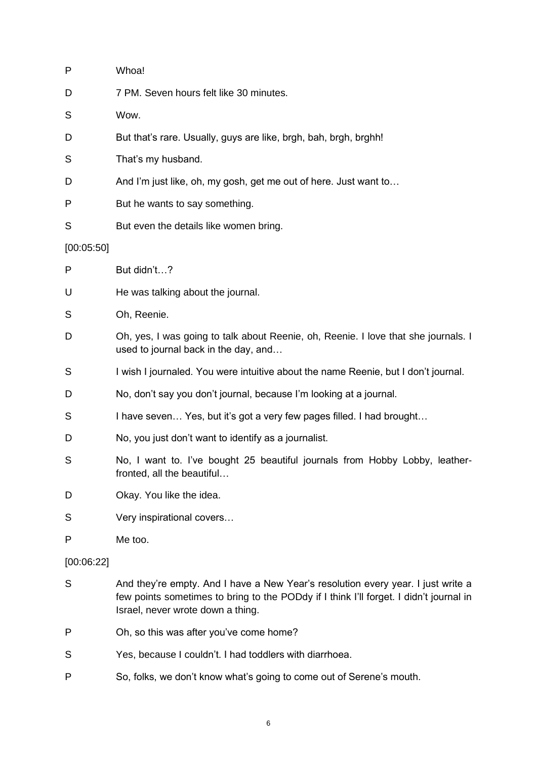| P          | Whoa!                                                                                                                                                                                                           |
|------------|-----------------------------------------------------------------------------------------------------------------------------------------------------------------------------------------------------------------|
| D          | 7 PM. Seven hours felt like 30 minutes.                                                                                                                                                                         |
| S          | Wow.                                                                                                                                                                                                            |
| D          | But that's rare. Usually, guys are like, brgh, bah, brgh, brghh!                                                                                                                                                |
| S          | That's my husband.                                                                                                                                                                                              |
| D          | And I'm just like, oh, my gosh, get me out of here. Just want to                                                                                                                                                |
| P          | But he wants to say something.                                                                                                                                                                                  |
| S          | But even the details like women bring.                                                                                                                                                                          |
| [00:05:50] |                                                                                                                                                                                                                 |
| P          | But didn't?                                                                                                                                                                                                     |
| U          | He was talking about the journal.                                                                                                                                                                               |
| S          | Oh, Reenie.                                                                                                                                                                                                     |
| D          | Oh, yes, I was going to talk about Reenie, oh, Reenie. I love that she journals. I<br>used to journal back in the day, and                                                                                      |
| S          | I wish I journaled. You were intuitive about the name Reenie, but I don't journal.                                                                                                                              |
| D          | No, don't say you don't journal, because I'm looking at a journal.                                                                                                                                              |
| S          | I have seven Yes, but it's got a very few pages filled. I had brought                                                                                                                                           |
| D          | No, you just don't want to identify as a journalist.                                                                                                                                                            |
| S          | No, I want to. I've bought 25 beautiful journals from Hobby Lobby, leather-<br>fronted, all the beautiful                                                                                                       |
| D          | Okay. You like the idea.                                                                                                                                                                                        |
| S          | Very inspirational covers                                                                                                                                                                                       |
| P          | Me too.                                                                                                                                                                                                         |
| [00:06:22] |                                                                                                                                                                                                                 |
| S          | And they're empty. And I have a New Year's resolution every year. I just write a<br>few points sometimes to bring to the PODdy if I think I'll forget. I didn't journal in<br>Israel, never wrote down a thing. |
| P          | Oh, so this was after you've come home?                                                                                                                                                                         |
| S          | Yes, because I couldn't. I had toddlers with diarrhoea.                                                                                                                                                         |

P So, folks, we don't know what's going to come out of Serene's mouth.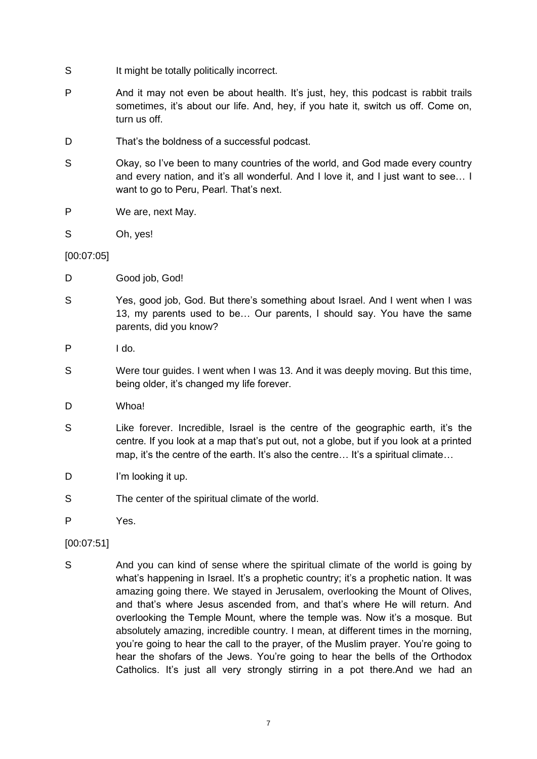- S It might be totally politically incorrect.
- P And it may not even be about health. It's just, hey, this podcast is rabbit trails sometimes, it's about our life. And, hey, if you hate it, switch us off. Come on, turn us off.
- D That's the boldness of a successful podcast.
- S Okay, so I've been to many countries of the world, and God made every country and every nation, and it's all wonderful. And I love it, and I just want to see… I want to go to Peru, Pearl. That's next.
- P We are, next May.
- S Oh, yes!

[00:07:05]

- D Good job, God!
- S Yes, good job, God. But there's something about Israel. And I went when I was 13, my parents used to be… Our parents, I should say. You have the same parents, did you know?
- P  $\rvert$  do.
- S Were tour guides. I went when I was 13. And it was deeply moving. But this time, being older, it's changed my life forever.
- D Whoa!
- S Like forever. Incredible, Israel is the centre of the geographic earth, it's the centre. If you look at a map that's put out, not a globe, but if you look at a printed map, it's the centre of the earth. It's also the centre... It's a spiritual climate...
- D I'm looking it up.
- S The center of the spiritual climate of the world.
- P Yes.
- [00:07:51]
- S And you can kind of sense where the spiritual climate of the world is going by what's happening in Israel. It's a prophetic country; it's a prophetic nation. It was amazing going there. We stayed in Jerusalem, overlooking the Mount of Olives, and that's where Jesus ascended from, and that's where He will return. And overlooking the Temple Mount, where the temple was. Now it's a mosque. But absolutely amazing, incredible country. I mean, at different times in the morning, you're going to hear the call to the prayer, of the Muslim prayer. You're going to hear the shofars of the Jews. You're going to hear the bells of the Orthodox Catholics. It's just all very strongly stirring in a pot there.And we had an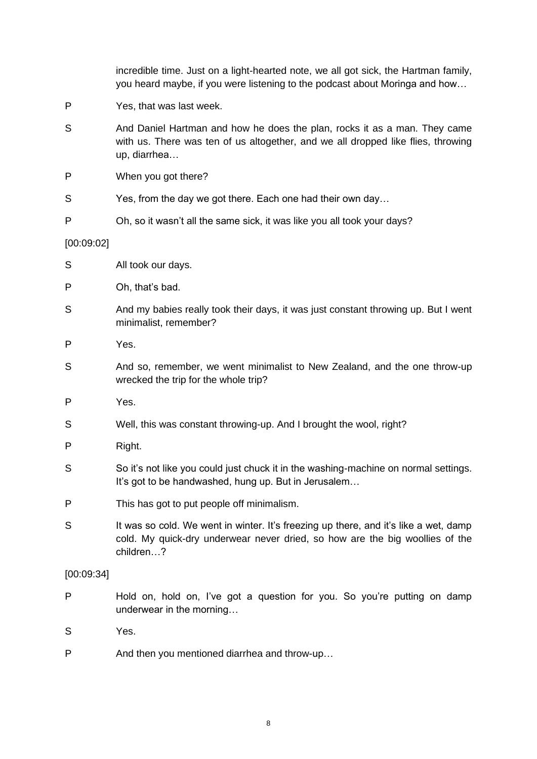|            | incredible time. Just on a light-hearted note, we all got sick, the Hartman family,<br>you heard maybe, if you were listening to the podcast about Moringa and how                |
|------------|-----------------------------------------------------------------------------------------------------------------------------------------------------------------------------------|
| P          | Yes, that was last week.                                                                                                                                                          |
| S          | And Daniel Hartman and how he does the plan, rocks it as a man. They came<br>with us. There was ten of us altogether, and we all dropped like flies, throwing<br>up, diarrhea     |
| P          | When you got there?                                                                                                                                                               |
| S          | Yes, from the day we got there. Each one had their own day                                                                                                                        |
| P          | Oh, so it wasn't all the same sick, it was like you all took your days?                                                                                                           |
| [00:09:02] |                                                                                                                                                                                   |
| S          | All took our days.                                                                                                                                                                |
| P          | Oh, that's bad.                                                                                                                                                                   |
| S          | And my babies really took their days, it was just constant throwing up. But I went<br>minimalist, remember?                                                                       |
| P          | Yes.                                                                                                                                                                              |
| S          | And so, remember, we went minimalist to New Zealand, and the one throw-up<br>wrecked the trip for the whole trip?                                                                 |
| P          | Yes.                                                                                                                                                                              |
| S          | Well, this was constant throwing-up. And I brought the wool, right?                                                                                                               |
| P          | Right.                                                                                                                                                                            |
| S          | So it's not like you could just chuck it in the washing-machine on normal settings.<br>It's got to be handwashed, hung up. But in Jerusalem                                       |
| P          | This has got to put people off minimalism.                                                                                                                                        |
| S          | It was so cold. We went in winter. It's freezing up there, and it's like a wet, damp<br>cold. My quick-dry underwear never dried, so how are the big woollies of the<br>children? |
| [00:09:34] |                                                                                                                                                                                   |
| P          | Hold on, hold on, I've got a question for you. So you're putting on damp<br>underwear in the morning                                                                              |
| S          | Yes.                                                                                                                                                                              |
| P          | And then you mentioned diarrhea and throw-up                                                                                                                                      |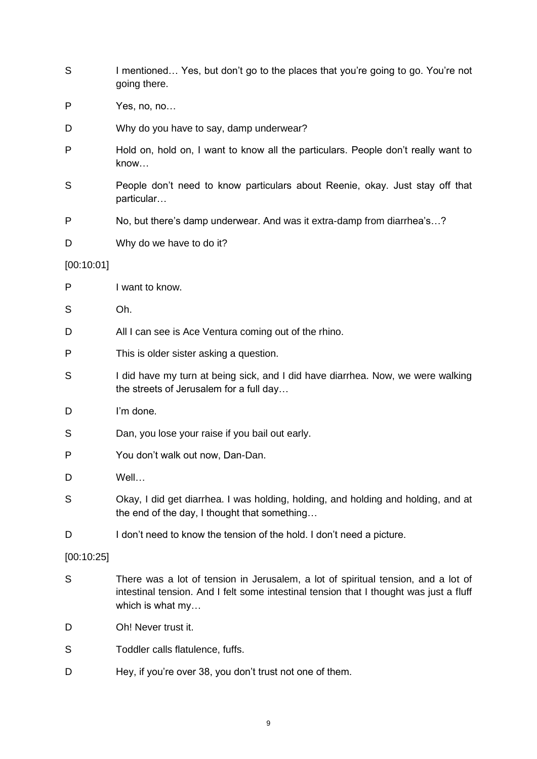| S          | I mentioned Yes, but don't go to the places that you're going to go. You're not<br>going there.                                                                                                 |
|------------|-------------------------------------------------------------------------------------------------------------------------------------------------------------------------------------------------|
| P          | Yes, no, no                                                                                                                                                                                     |
| D          | Why do you have to say, damp underwear?                                                                                                                                                         |
| P          | Hold on, hold on, I want to know all the particulars. People don't really want to<br>know                                                                                                       |
| S          | People don't need to know particulars about Reenie, okay. Just stay off that<br>particular                                                                                                      |
| P          | No, but there's damp underwear. And was it extra-damp from diarrhea's?                                                                                                                          |
| D          | Why do we have to do it?                                                                                                                                                                        |
| [00:10:01] |                                                                                                                                                                                                 |
| P          | I want to know.                                                                                                                                                                                 |
| S          | Oh.                                                                                                                                                                                             |
| D          | All I can see is Ace Ventura coming out of the rhino.                                                                                                                                           |
| P          | This is older sister asking a question.                                                                                                                                                         |
| S          | I did have my turn at being sick, and I did have diarrhea. Now, we were walking<br>the streets of Jerusalem for a full day                                                                      |
| D          | I'm done.                                                                                                                                                                                       |
| S          | Dan, you lose your raise if you bail out early.                                                                                                                                                 |
| P          | You don't walk out now, Dan-Dan.                                                                                                                                                                |
| D          | Well                                                                                                                                                                                            |
| S          | Okay, I did get diarrhea. I was holding, holding, and holding and holding, and at<br>the end of the day, I thought that something                                                               |
| D          | I don't need to know the tension of the hold. I don't need a picture.                                                                                                                           |
| [00:10:25] |                                                                                                                                                                                                 |
| S          | There was a lot of tension in Jerusalem, a lot of spiritual tension, and a lot of<br>intestinal tension. And I felt some intestinal tension that I thought was just a fluff<br>which is what my |
| D          | Oh! Never trust it.                                                                                                                                                                             |
| S          | Toddler calls flatulence, fuffs.                                                                                                                                                                |
| D          | Hey, if you're over 38, you don't trust not one of them.                                                                                                                                        |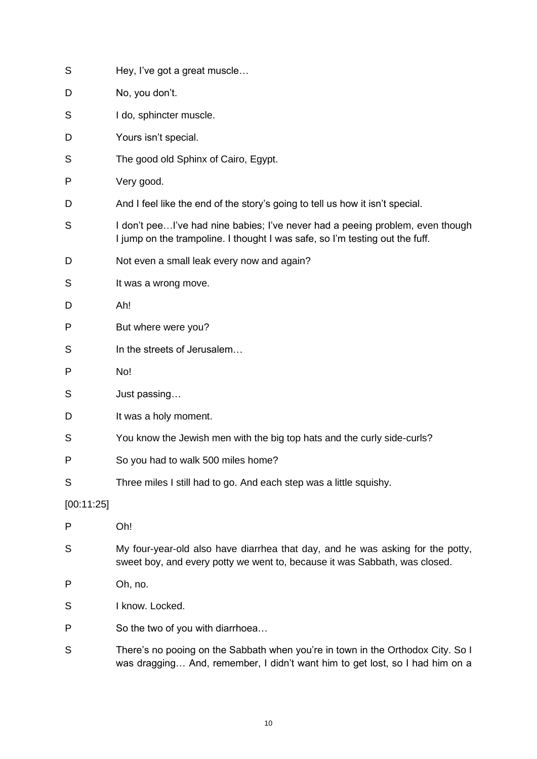| S          | Hey, I've got a great muscle                                                                                                                                    |
|------------|-----------------------------------------------------------------------------------------------------------------------------------------------------------------|
| D          | No, you don't.                                                                                                                                                  |
| S          | I do, sphincter muscle.                                                                                                                                         |
| D          | Yours isn't special.                                                                                                                                            |
| S          | The good old Sphinx of Cairo, Egypt.                                                                                                                            |
| P          | Very good.                                                                                                                                                      |
| D          | And I feel like the end of the story's going to tell us how it isn't special.                                                                                   |
| S          | I don't peeI've had nine babies; I've never had a peeing problem, even though<br>I jump on the trampoline. I thought I was safe, so I'm testing out the fuff.   |
| D          | Not even a small leak every now and again?                                                                                                                      |
| S          | It was a wrong move.                                                                                                                                            |
| D          | Ah!                                                                                                                                                             |
| P          | But where were you?                                                                                                                                             |
| S          | In the streets of Jerusalem                                                                                                                                     |
| P          | No!                                                                                                                                                             |
| S          | Just passing                                                                                                                                                    |
| D          | It was a holy moment.                                                                                                                                           |
| S          | You know the Jewish men with the big top hats and the curly side-curls?                                                                                         |
| P          | So you had to walk 500 miles home?                                                                                                                              |
| S          | Three miles I still had to go. And each step was a little squishy.                                                                                              |
| [00:11:25] |                                                                                                                                                                 |
| P          | Oh!                                                                                                                                                             |
| S          | My four-year-old also have diarrhea that day, and he was asking for the potty,<br>sweet boy, and every potty we went to, because it was Sabbath, was closed.    |
| P          | Oh, no.                                                                                                                                                         |
| S          | I know. Locked.                                                                                                                                                 |
| P          | So the two of you with diarrhoea                                                                                                                                |
| S          | There's no pooing on the Sabbath when you're in town in the Orthodox City. So I<br>was dragging And, remember, I didn't want him to get lost, so I had him on a |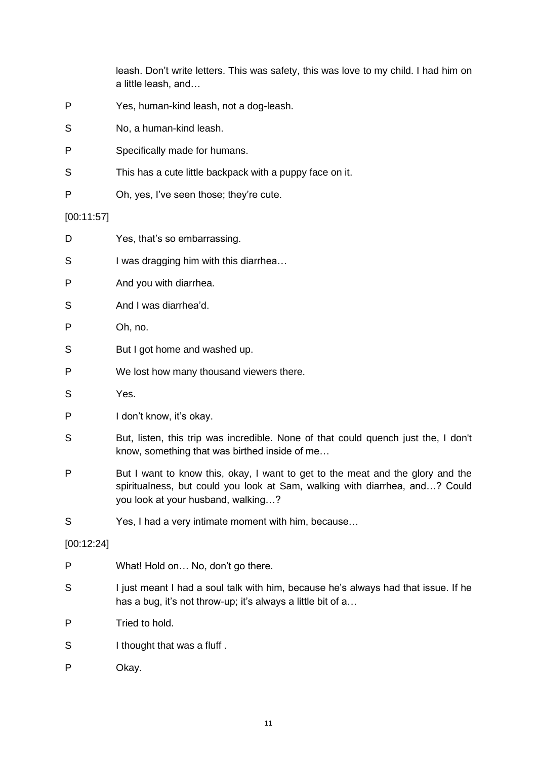leash. Don't write letters. This was safety, this was love to my child. I had him on a little leash, and…

- P Yes, human-kind leash, not a dog-leash.
- S No, a human-kind leash.
- P Specifically made for humans.
- S This has a cute little backpack with a puppy face on it.
- P Oh, yes, I've seen those; they're cute.

#### [00:11:57]

- D Yes, that's so embarrassing.
- S I was dragging him with this diarrhea...
- P And you with diarrhea.
- S And I was diarrhea'd.

P Oh, no.

- S But I got home and washed up.
- P We lost how many thousand viewers there.
- S Yes.
- P I don't know, it's okay.
- S But, listen, this trip was incredible. None of that could quench just the, I don't know, something that was birthed inside of me…
- P But I want to know this, okay, I want to get to the meat and the glory and the spiritualness, but could you look at Sam, walking with diarrhea, and…? Could you look at your husband, walking…?
- S Yes, I had a very intimate moment with him, because…

[00:12:24]

- P What! Hold on... No, don't go there.
- S I just meant I had a soul talk with him, because he's always had that issue. If he has a bug, it's not throw-up; it's always a little bit of a...
- P Tried to hold.
- S I thought that was a fluff.
- P Okay.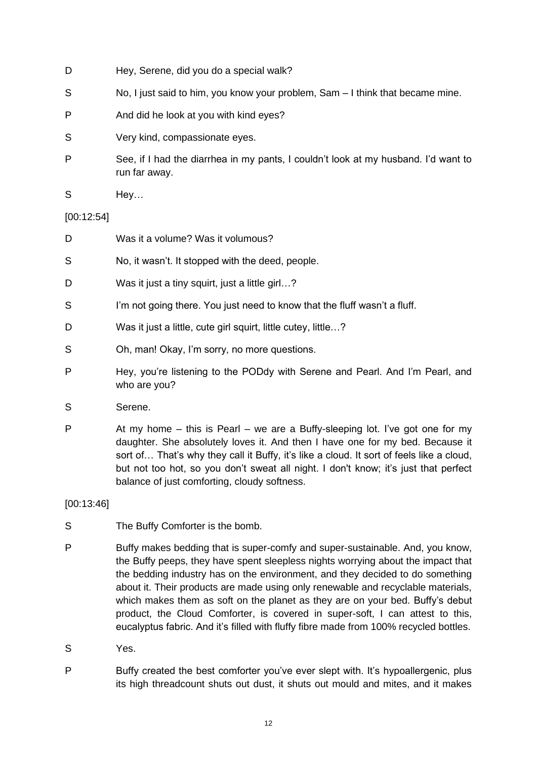- D Hey, Serene, did you do a special walk?
- S No, I just said to him, you know your problem, Sam I think that became mine.
- P And did he look at you with kind eyes?
- S Very kind, compassionate eyes.
- P See, if I had the diarrhea in my pants, I couldn't look at my husband. I'd want to run far away.
- S Hey...

## [00:12:54]

- D Was it a volume? Was it volumous?
- S No, it wasn't. It stopped with the deed, people.
- D Was it just a tiny squirt, just a little girl...?
- S I'm not going there. You just need to know that the fluff wasn't a fluff.
- D Was it just a little, cute girl squirt, little cutey, little...?
- S Oh, man! Okay, I'm sorry, no more questions.
- P Hey, you're listening to the PODdy with Serene and Pearl. And I'm Pearl, and who are you?
- S Serene.
- P At my home this is Pearl we are a Buffy-sleeping lot. I've got one for my daughter. She absolutely loves it. And then I have one for my bed. Because it sort of… That's why they call it Buffy, it's like a cloud. It sort of feels like a cloud, but not too hot, so you don't sweat all night. I don't know; it's just that perfect balance of just comforting, cloudy softness.

[00:13:46]

- S The Buffy Comforter is the bomb.
- P Buffy makes bedding that is super-comfy and super-sustainable. And, you know, the Buffy peeps, they have spent sleepless nights worrying about the impact that the bedding industry has on the environment, and they decided to do something about it. Their products are made using only renewable and recyclable materials, which makes them as soft on the planet as they are on your bed. Buffy's debut product, the Cloud Comforter, is covered in super-soft, I can attest to this, eucalyptus fabric. And it's filled with fluffy fibre made from 100% recycled bottles.
- S Yes.
- P Buffy created the best comforter you've ever slept with. It's hypoallergenic, plus its high threadcount shuts out dust, it shuts out mould and mites, and it makes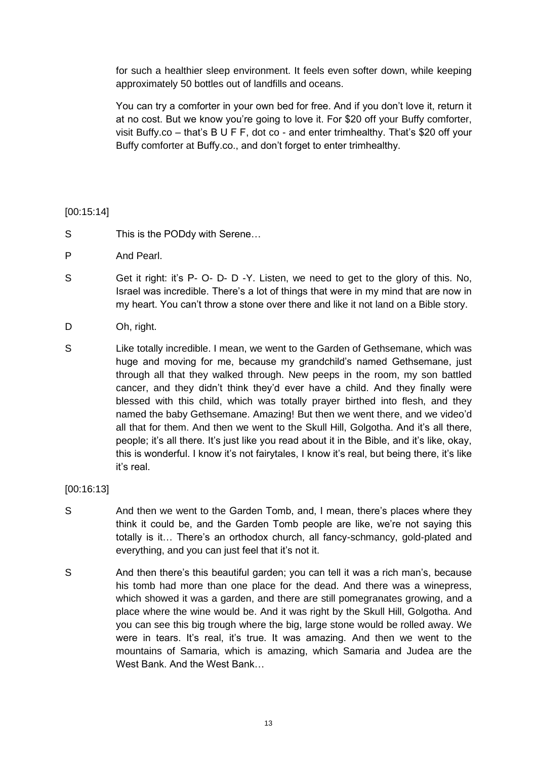for such a healthier sleep environment. It feels even softer down, while keeping approximately 50 bottles out of landfills and oceans.

You can try a comforter in your own bed for free. And if you don't love it, return it at no cost. But we know you're going to love it. For \$20 off your Buffy comforter, visit Buffy.co – that's B U F F, dot co - and enter trimhealthy. That's \$20 off your Buffy comforter at Buffy.co., and don't forget to enter trimhealthy.

## [00:15:14]

- S This is the PODdy with Serene...
- P And Pearl.
- S Get it right: it's P- O- D- D-Y. Listen, we need to get to the glory of this. No, Israel was incredible. There's a lot of things that were in my mind that are now in my heart. You can't throw a stone over there and like it not land on a Bible story.
- D Oh, right.
- S Like totally incredible. I mean, we went to the Garden of Gethsemane, which was huge and moving for me, because my grandchild's named Gethsemane, just through all that they walked through. New peeps in the room, my son battled cancer, and they didn't think they'd ever have a child. And they finally were blessed with this child, which was totally prayer birthed into flesh, and they named the baby Gethsemane. Amazing! But then we went there, and we video'd all that for them. And then we went to the Skull Hill, Golgotha. And it's all there, people; it's all there. It's just like you read about it in the Bible, and it's like, okay, this is wonderful. I know it's not fairytales, I know it's real, but being there, it's like it's real.

## [00:16:13]

- S And then we went to the Garden Tomb, and, I mean, there's places where they think it could be, and the Garden Tomb people are like, we're not saying this totally is it… There's an orthodox church, all fancy-schmancy, gold-plated and everything, and you can just feel that it's not it.
- S And then there's this beautiful garden; you can tell it was a rich man's, because his tomb had more than one place for the dead. And there was a winepress, which showed it was a garden, and there are still pomegranates growing, and a place where the wine would be. And it was right by the Skull Hill, Golgotha. And you can see this big trough where the big, large stone would be rolled away. We were in tears. It's real, it's true. It was amazing. And then we went to the mountains of Samaria, which is amazing, which Samaria and Judea are the West Bank. And the West Bank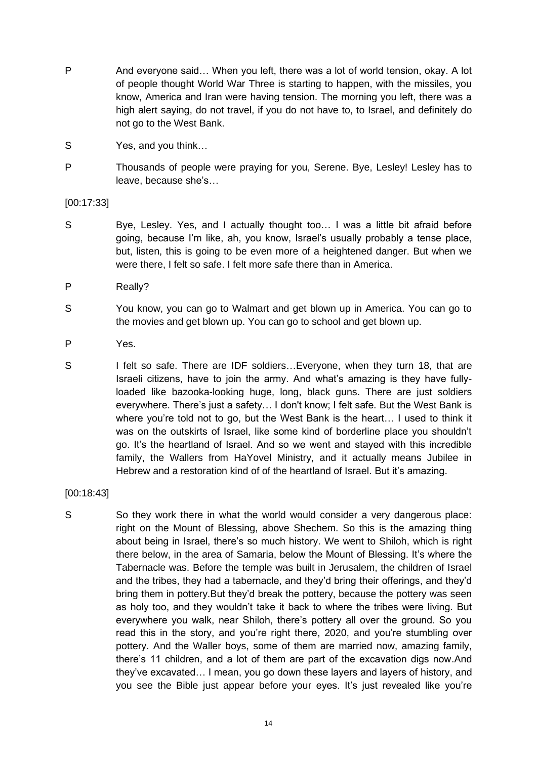- P And everyone said… When you left, there was a lot of world tension, okay. A lot of people thought World War Three is starting to happen, with the missiles, you know, America and Iran were having tension. The morning you left, there was a high alert saying, do not travel, if you do not have to, to Israel, and definitely do not go to the West Bank.
- S Yes, and you think…
- P Thousands of people were praying for you, Serene. Bye, Lesley! Lesley has to leave, because she's…

[00:17:33]

- S Bye, Lesley. Yes, and I actually thought too... I was a little bit afraid before going, because I'm like, ah, you know, Israel's usually probably a tense place, but, listen, this is going to be even more of a heightened danger. But when we were there, I felt so safe. I felt more safe there than in America.
- P Really?
- S You know, you can go to Walmart and get blown up in America. You can go to the movies and get blown up. You can go to school and get blown up.
- P Yes.
- S I felt so safe. There are IDF soldiers...Everyone, when they turn 18, that are Israeli citizens, have to join the army. And what's amazing is they have fullyloaded like bazooka-looking huge, long, black guns. There are just soldiers everywhere. There's just a safety… I don't know; I felt safe. But the West Bank is where you're told not to go, but the West Bank is the heart... I used to think it was on the outskirts of Israel, like some kind of borderline place you shouldn't go. It's the heartland of Israel. And so we went and stayed with this incredible family, the Wallers from HaYovel Ministry, and it actually means Jubilee in Hebrew and a restoration kind of of the heartland of Israel. But it's amazing.

[00:18:43]

S So they work there in what the world would consider a very dangerous place: right on the Mount of Blessing, above Shechem. So this is the amazing thing about being in Israel, there's so much history. We went to Shiloh, which is right there below, in the area of Samaria, below the Mount of Blessing. It's where the Tabernacle was. Before the temple was built in Jerusalem, the children of Israel and the tribes, they had a tabernacle, and they'd bring their offerings, and they'd bring them in pottery.But they'd break the pottery, because the pottery was seen as holy too, and they wouldn't take it back to where the tribes were living. But everywhere you walk, near Shiloh, there's pottery all over the ground. So you read this in the story, and you're right there, 2020, and you're stumbling over pottery. And the Waller boys, some of them are married now, amazing family, there's 11 children, and a lot of them are part of the excavation digs now.And they've excavated… I mean, you go down these layers and layers of history, and you see the Bible just appear before your eyes. It's just revealed like you're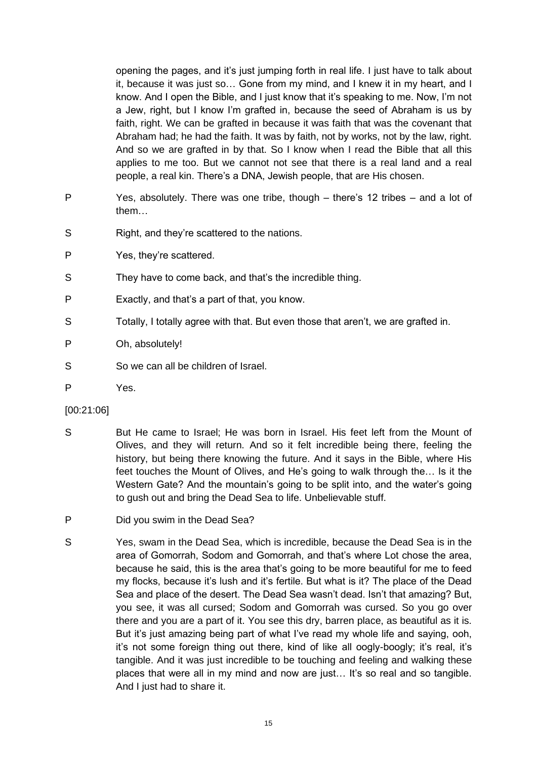opening the pages, and it's just jumping forth in real life. I just have to talk about it, because it was just so… Gone from my mind, and I knew it in my heart, and I know. And I open the Bible, and I just know that it's speaking to me. Now, I'm not a Jew, right, but I know I'm grafted in, because the seed of Abraham is us by faith, right. We can be grafted in because it was faith that was the covenant that Abraham had; he had the faith. It was by faith, not by works, not by the law, right. And so we are grafted in by that. So I know when I read the Bible that all this applies to me too. But we cannot not see that there is a real land and a real people, a real kin. There's a DNA, Jewish people, that are His chosen.

- P Yes, absolutely. There was one tribe, though there's 12 tribes and a lot of them…
- S Right, and they're scattered to the nations.
- P Yes, they're scattered.
- S They have to come back, and that's the incredible thing.
- P Exactly, and that's a part of that, you know.
- S Totally, I totally agree with that. But even those that aren't, we are grafted in.
- P Oh, absolutely!
- S So we can all be children of Israel.
- P Yes.
- [00:21:06]
- S But He came to Israel; He was born in Israel. His feet left from the Mount of Olives, and they will return. And so it felt incredible being there, feeling the history, but being there knowing the future. And it says in the Bible, where His feet touches the Mount of Olives, and He's going to walk through the… Is it the Western Gate? And the mountain's going to be split into, and the water's going to gush out and bring the Dead Sea to life. Unbelievable stuff.
- P Did you swim in the Dead Sea?
- S Yes, swam in the Dead Sea, which is incredible, because the Dead Sea is in the area of Gomorrah, Sodom and Gomorrah, and that's where Lot chose the area, because he said, this is the area that's going to be more beautiful for me to feed my flocks, because it's lush and it's fertile. But what is it? The place of the Dead Sea and place of the desert. The Dead Sea wasn't dead. Isn't that amazing? But, you see, it was all cursed; Sodom and Gomorrah was cursed. So you go over there and you are a part of it. You see this dry, barren place, as beautiful as it is. But it's just amazing being part of what I've read my whole life and saying, ooh, it's not some foreign thing out there, kind of like all oogly-boogly; it's real, it's tangible. And it was just incredible to be touching and feeling and walking these places that were all in my mind and now are just… It's so real and so tangible. And I just had to share it.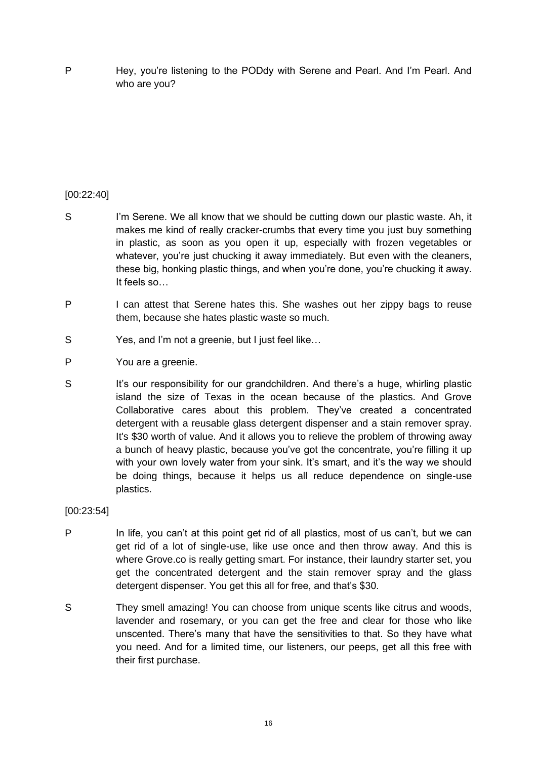P Hey, you're listening to the PODdy with Serene and Pearl. And I'm Pearl. And who are you?

# [00:22:40]

- S I'm Serene. We all know that we should be cutting down our plastic waste. Ah, it makes me kind of really cracker-crumbs that every time you just buy something in plastic, as soon as you open it up, especially with frozen vegetables or whatever, you're just chucking it away immediately. But even with the cleaners, these big, honking plastic things, and when you're done, you're chucking it away. It feels so…
- P I can attest that Serene hates this. She washes out her zippy bags to reuse them, because she hates plastic waste so much.
- S Yes, and I'm not a greenie, but I just feel like…
- P You are a greenie.
- S It's our responsibility for our grandchildren. And there's a huge, whirling plastic island the size of Texas in the ocean because of the plastics. And Grove Collaborative cares about this problem. They've created a concentrated detergent with a reusable glass detergent dispenser and a stain remover spray. It's \$30 worth of value. And it allows you to relieve the problem of throwing away a bunch of heavy plastic, because you've got the concentrate, you're filling it up with your own lovely water from your sink. It's smart, and it's the way we should be doing things, because it helps us all reduce dependence on single-use plastics.

### [00:23:54]

- P In life, you can't at this point get rid of all plastics, most of us can't, but we can get rid of a lot of single-use, like use once and then throw away. And this is where Grove.co is really getting smart. For instance, their laundry starter set, you get the concentrated detergent and the stain remover spray and the glass detergent dispenser. You get this all for free, and that's \$30.
- S They smell amazing! You can choose from unique scents like citrus and woods, lavender and rosemary, or you can get the free and clear for those who like unscented. There's many that have the sensitivities to that. So they have what you need. And for a limited time, our listeners, our peeps, get all this free with their first purchase.

16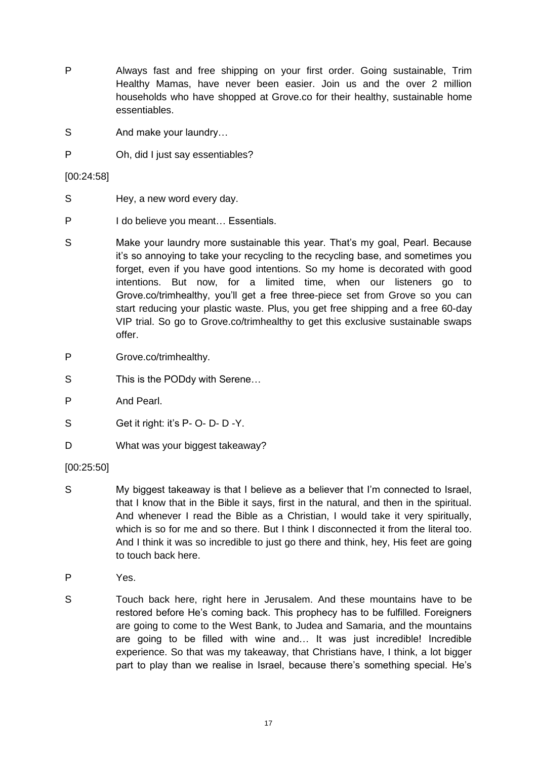- P Always fast and free shipping on your first order. Going sustainable, Trim Healthy Mamas, have never been easier. Join us and the over 2 million households who have shopped at Grove.co for their healthy, sustainable home essentiables.
- S And make your laundry...
- P Oh, did I just say essentiables?

[00:24:58]

- S Hey, a new word every day.
- P I do believe you meant... Essentials.
- S Make your laundry more sustainable this year. That's my goal, Pearl. Because it's so annoying to take your recycling to the recycling base, and sometimes you forget, even if you have good intentions. So my home is decorated with good intentions. But now, for a limited time, when our listeners go to Grove.co/trimhealthy, you'll get a free three-piece set from Grove so you can start reducing your plastic waste. Plus, you get free shipping and a free 60-day VIP trial. So go to Grove.co/trimhealthy to get this exclusive sustainable swaps offer.
- P Grove.co/trimhealthy.
- S This is the PODdy with Serene...
- P And Pearl.
- S Get it right: it's P- O- D- D-Y.
- D What was your biggest takeaway?

# [00:25:50]

- S My biggest takeaway is that I believe as a believer that I'm connected to Israel, that I know that in the Bible it says, first in the natural, and then in the spiritual. And whenever I read the Bible as a Christian, I would take it very spiritually, which is so for me and so there. But I think I disconnected it from the literal too. And I think it was so incredible to just go there and think, hey, His feet are going to touch back here.
- P Yes.
- S Touch back here, right here in Jerusalem. And these mountains have to be restored before He's coming back. This prophecy has to be fulfilled. Foreigners are going to come to the West Bank, to Judea and Samaria, and the mountains are going to be filled with wine and… It was just incredible! Incredible experience. So that was my takeaway, that Christians have, I think, a lot bigger part to play than we realise in Israel, because there's something special. He's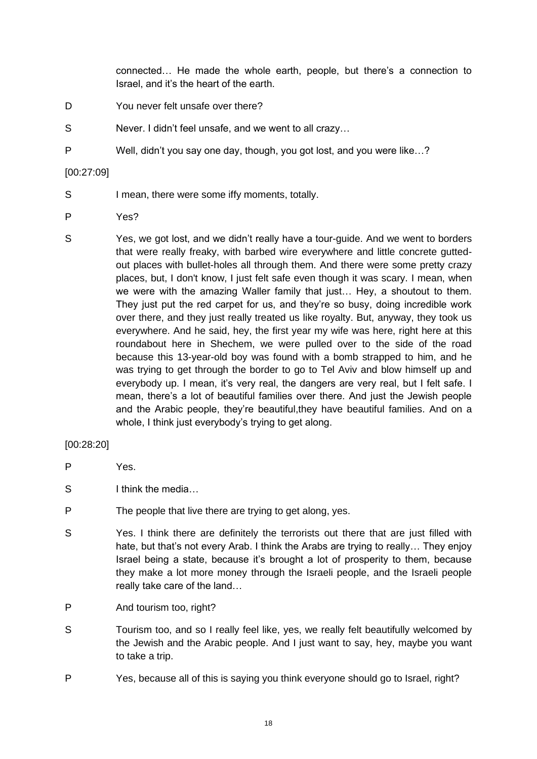connected… He made the whole earth, people, but there's a connection to Israel, and it's the heart of the earth.

- D You never felt unsafe over there?
- S Never. I didn't feel unsafe, and we went to all crazy…
- P Well, didn't you say one day, though, you got lost, and you were like…?

### [00:27:09]

- S I mean, there were some iffy moments, totally.
- P Yes?
- S Yes, we got lost, and we didn't really have a tour-guide. And we went to borders that were really freaky, with barbed wire everywhere and little concrete guttedout places with bullet-holes all through them. And there were some pretty crazy places, but, I don't know, I just felt safe even though it was scary. I mean, when we were with the amazing Waller family that just… Hey, a shoutout to them. They just put the red carpet for us, and they're so busy, doing incredible work over there, and they just really treated us like royalty. But, anyway, they took us everywhere. And he said, hey, the first year my wife was here, right here at this roundabout here in Shechem, we were pulled over to the side of the road because this 13-year-old boy was found with a bomb strapped to him, and he was trying to get through the border to go to Tel Aviv and blow himself up and everybody up. I mean, it's very real, the dangers are very real, but I felt safe. I mean, there's a lot of beautiful families over there. And just the Jewish people and the Arabic people, they're beautiful,they have beautiful families. And on a whole. I think just everybody's trying to get along.

## [00:28:20]

- P Yes.
- S I think the media...
- P The people that live there are trying to get along, yes.
- S Yes. I think there are definitely the terrorists out there that are just filled with hate, but that's not every Arab. I think the Arabs are trying to really… They enjoy Israel being a state, because it's brought a lot of prosperity to them, because they make a lot more money through the Israeli people, and the Israeli people really take care of the land…
- P And tourism too, right?
- S Tourism too, and so I really feel like, yes, we really felt beautifully welcomed by the Jewish and the Arabic people. And I just want to say, hey, maybe you want to take a trip.
- P Yes, because all of this is saying you think everyone should go to Israel, right?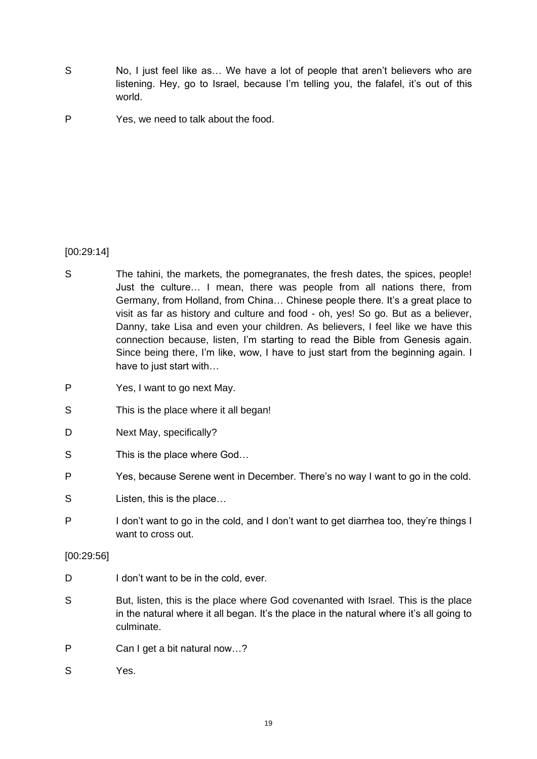- S No, I just feel like as... We have a lot of people that aren't believers who are listening. Hey, go to Israel, because I'm telling you, the falafel, it's out of this world.
- P Yes, we need to talk about the food.

## [00:29:14]

- S The tahini, the markets, the pomegranates, the fresh dates, the spices, people! Just the culture… I mean, there was people from all nations there, from Germany, from Holland, from China… Chinese people there. It's a great place to visit as far as history and culture and food - oh, yes! So go. But as a believer, Danny, take Lisa and even your children. As believers, I feel like we have this connection because, listen, I'm starting to read the Bible from Genesis again. Since being there, I'm like, wow, I have to just start from the beginning again. I have to just start with…
- P Yes, I want to go next May.
- S This is the place where it all began!
- D Next May, specifically?
- S This is the place where God...
- P Yes, because Serene went in December. There's no way I want to go in the cold.
- S Listen, this is the place...
- P I don't want to go in the cold, and I don't want to get diarrhea too, they're things I want to cross out.

### [00:29:56]

- D I don't want to be in the cold, ever.
- S But, listen, this is the place where God covenanted with Israel. This is the place in the natural where it all began. It's the place in the natural where it's all going to culminate.
- P Can I get a bit natural now...?
- S Yes.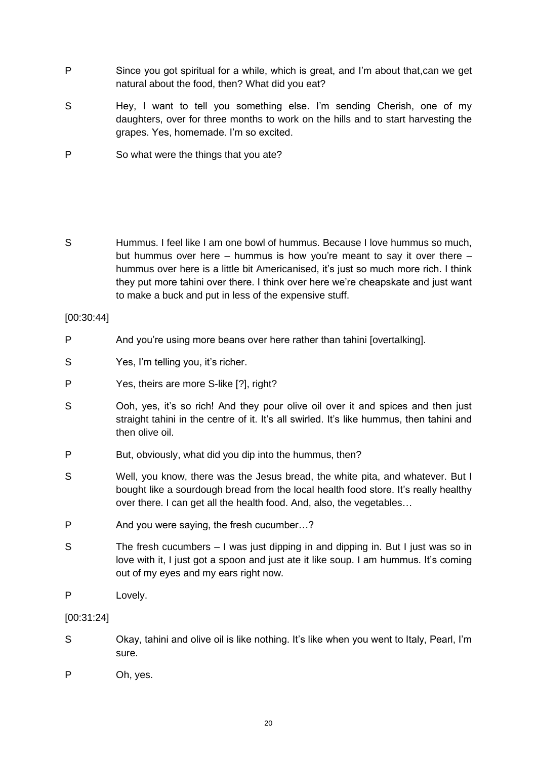- P Since you got spiritual for a while, which is great, and I'm about that,can we get natural about the food, then? What did you eat?
- S Hey, I want to tell you something else. I'm sending Cherish, one of my daughters, over for three months to work on the hills and to start harvesting the grapes. Yes, homemade. I'm so excited.
- P So what were the things that you ate?
- S Hummus. I feel like I am one bowl of hummus. Because I love hummus so much, but hummus over here – hummus is how you're meant to say it over there – hummus over here is a little bit Americanised, it's just so much more rich. I think they put more tahini over there. I think over here we're cheapskate and just want to make a buck and put in less of the expensive stuff.

[00:30:44]

- P And you're using more beans over here rather than tahini [overtalking].
- S Yes, I'm telling you, it's richer.
- P Yes, theirs are more S-like [?], right?
- S Ooh, yes, it's so rich! And they pour olive oil over it and spices and then just straight tahini in the centre of it. It's all swirled. It's like hummus, then tahini and then olive oil.
- P But, obviously, what did you dip into the hummus, then?
- S Well, you know, there was the Jesus bread, the white pita, and whatever. But I bought like a sourdough bread from the local health food store. It's really healthy over there. I can get all the health food. And, also, the vegetables…
- P And you were saying, the fresh cucumber...?
- S The fresh cucumbers I was just dipping in and dipping in. But I just was so in love with it, I just got a spoon and just ate it like soup. I am hummus. It's coming out of my eyes and my ears right now.
- P Lovely.

[00:31:24]

- S Okay, tahini and olive oil is like nothing. It's like when you went to Italy, Pearl, I'm sure.
- P Oh, yes.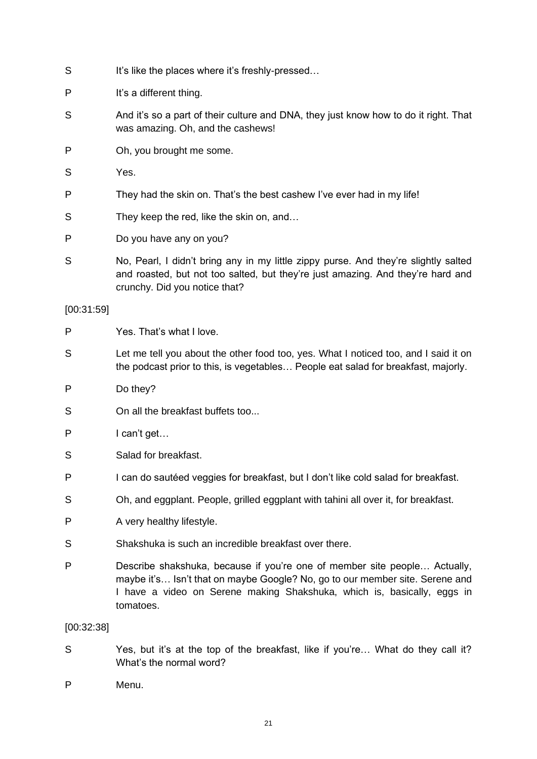- S It's like the places where it's freshly-pressed...
- P It's a different thing.
- S And it's so a part of their culture and DNA, they just know how to do it right. That was amazing. Oh, and the cashews!
- P Oh, you brought me some.
- S Yes.
- P They had the skin on. That's the best cashew I've ever had in my life!
- S They keep the red, like the skin on, and...
- P Do you have any on you?
- S No, Pearl, I didn't bring any in my little zippy purse. And they're slightly salted and roasted, but not too salted, but they're just amazing. And they're hard and crunchy. Did you notice that?

### [00:31:59]

- P Yes. That's what I love.
- S Let me tell you about the other food too, yes. What I noticed too, and I said it on the podcast prior to this, is vegetables… People eat salad for breakfast, majorly.
- P Do they?
- S On all the breakfast buffets too...
- P l can't get...
- S Salad for breakfast.
- P I can do sautéed veggies for breakfast, but I don't like cold salad for breakfast.
- S Oh, and eggplant. People, grilled eggplant with tahini all over it, for breakfast.
- P A very healthy lifestyle.
- S Shakshuka is such an incredible breakfast over there.
- P Describe shakshuka, because if you're one of member site people… Actually, maybe it's… Isn't that on maybe Google? No, go to our member site. Serene and I have a video on Serene making Shakshuka, which is, basically, eggs in tomatoes.

### [00:32:38]

- S Yes, but it's at the top of the breakfast, like if you're… What do they call it? What's the normal word?
- P Menu.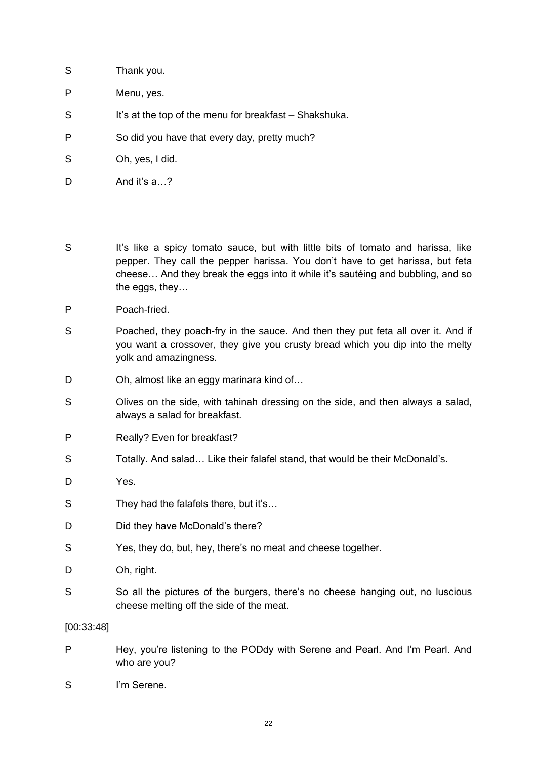| S | Thank you.                                             |
|---|--------------------------------------------------------|
| P | Menu, yes.                                             |
| S | It's at the top of the menu for breakfast – Shakshuka. |
| P | So did you have that every day, pretty much?           |
| S | Oh, yes, I did.                                        |
|   |                                                        |

D And it's a...?

- S It's like a spicy tomato sauce, but with little bits of tomato and harissa, like pepper. They call the pepper harissa. You don't have to get harissa, but feta cheese… And they break the eggs into it while it's sautéing and bubbling, and so the eggs, they…
- P Poach-fried.
- S Poached, they poach-fry in the sauce. And then they put feta all over it. And if you want a crossover, they give you crusty bread which you dip into the melty yolk and amazingness.
- D Oh, almost like an eggy marinara kind of...
- S Olives on the side, with tahinah dressing on the side, and then always a salad, always a salad for breakfast.
- P Really? Even for breakfast?
- S Totally. And salad… Like their falafel stand, that would be their McDonald's.
- D Yes.
- S They had the falafels there, but it's...
- D Did they have McDonald's there?
- S Yes, they do, but, hey, there's no meat and cheese together.
- D Oh, right.
- S So all the pictures of the burgers, there's no cheese hanging out, no luscious cheese melting off the side of the meat.

### [00:33:48]

- P Hey, you're listening to the PODdy with Serene and Pearl. And I'm Pearl. And who are you?
- S I'm Serene.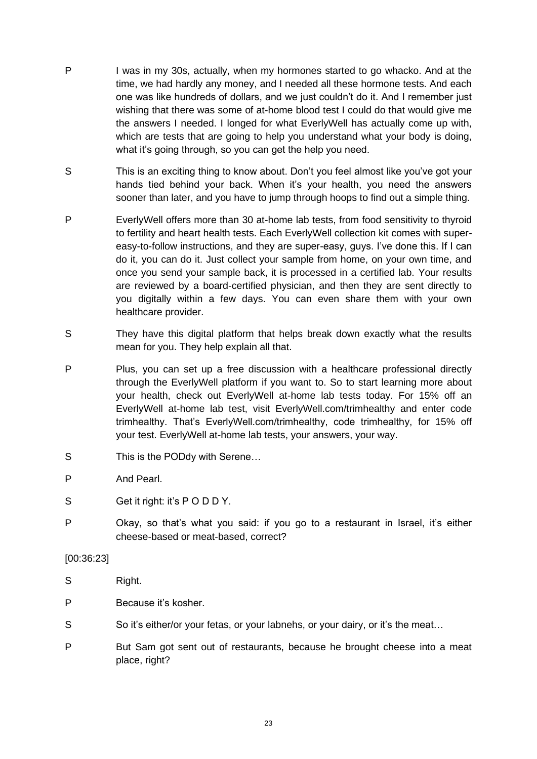- P I was in my 30s, actually, when my hormones started to go whacko. And at the time, we had hardly any money, and I needed all these hormone tests. And each one was like hundreds of dollars, and we just couldn't do it. And I remember just wishing that there was some of at-home blood test I could do that would give me the answers I needed. I longed for what EverlyWell has actually come up with, which are tests that are going to help you understand what your body is doing, what it's going through, so you can get the help you need.
- S This is an exciting thing to know about. Don't you feel almost like you've got your hands tied behind your back. When it's your health, you need the answers sooner than later, and you have to jump through hoops to find out a simple thing.
- P EverlyWell offers more than 30 at-home lab tests, from food sensitivity to thyroid to fertility and heart health tests. Each EverlyWell collection kit comes with supereasy-to-follow instructions, and they are super-easy, guys. I've done this. If I can do it, you can do it. Just collect your sample from home, on your own time, and once you send your sample back, it is processed in a certified lab. Your results are reviewed by a board-certified physician, and then they are sent directly to you digitally within a few days. You can even share them with your own healthcare provider.
- S They have this digital platform that helps break down exactly what the results mean for you. They help explain all that.
- P Plus, you can set up a free discussion with a healthcare professional directly through the EverlyWell platform if you want to. So to start learning more about your health, check out EverlyWell at-home lab tests today. For 15% off an EverlyWell at-home lab test, visit EverlyWell.com/trimhealthy and enter code trimhealthy. That's EverlyWell.com/trimhealthy, code trimhealthy, for 15% off your test. EverlyWell at-home lab tests, your answers, your way.
- S This is the PODdy with Serene...
- P And Pearl.
- S Get it right: it's PODDY.
- P Okay, so that's what you said: if you go to a restaurant in Israel, it's either cheese-based or meat-based, correct?

### [00:36:23]

- S Right.
- P Because it's kosher.
- S So it's either/or your fetas, or your labnehs, or your dairy, or it's the meat...
- P But Sam got sent out of restaurants, because he brought cheese into a meat place, right?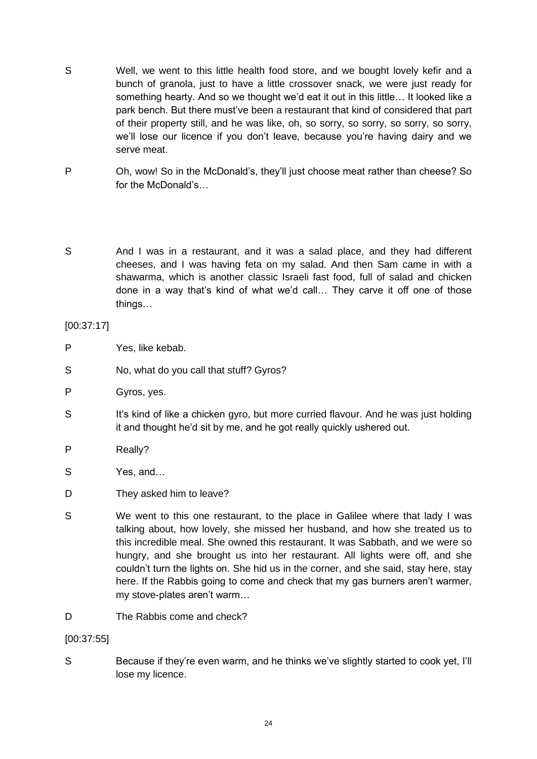- S Well, we went to this little health food store, and we bought lovely kefir and a bunch of granola, just to have a little crossover snack, we were just ready for something hearty. And so we thought we'd eat it out in this little… It looked like a park bench. But there must've been a restaurant that kind of considered that part of their property still, and he was like, oh, so sorry, so sorry, so sorry, so sorry, we'll lose our licence if you don't leave, because you're having dairy and we serve meat.
- P Oh, wow! So in the McDonald's, they'll just choose meat rather than cheese? So for the McDonald's…
- S And I was in a restaurant, and it was a salad place, and they had different cheeses, and I was having feta on my salad. And then Sam came in with a shawarma, which is another classic Israeli fast food, full of salad and chicken done in a way that's kind of what we'd call… They carve it off one of those things…

[00:37:17]

- P Yes, like kebab.
- S No, what do you call that stuff? Gyros?
- P Gyros, yes.
- S It's kind of like a chicken gyro, but more curried flavour. And he was just holding it and thought he'd sit by me, and he got really quickly ushered out.
- P Really?
- S Yes, and…
- D They asked him to leave?
- S We went to this one restaurant, to the place in Galilee where that lady I was talking about, how lovely, she missed her husband, and how she treated us to this incredible meal. She owned this restaurant. It was Sabbath, and we were so hungry, and she brought us into her restaurant. All lights were off, and she couldn't turn the lights on. She hid us in the corner, and she said, stay here, stay here. If the Rabbis going to come and check that my gas burners aren't warmer, my stove-plates aren't warm…
- D The Rabbis come and check?

[00:37:55]

S Because if they're even warm, and he thinks we've slightly started to cook yet, I'll lose my licence.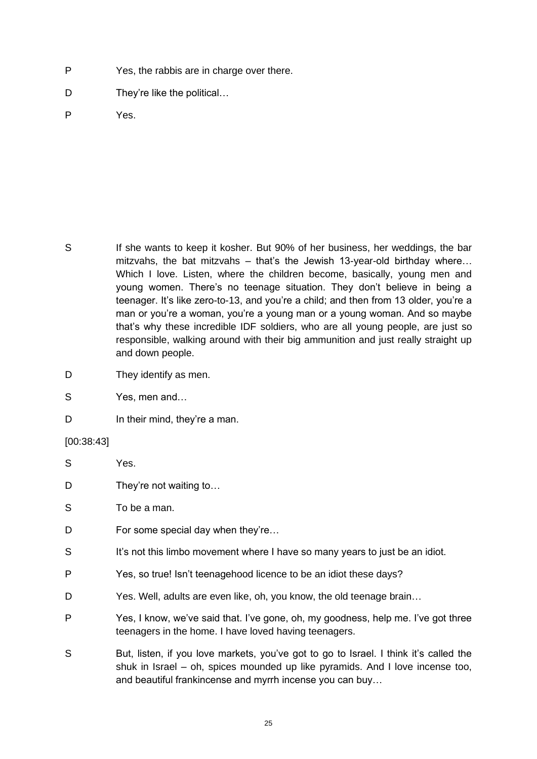- P Yes, the rabbis are in charge over there.
- D They're like the political...

P Yes.

S If she wants to keep it kosher. But 90% of her business, her weddings, the bar mitzvahs, the bat mitzvahs – that's the Jewish 13-year-old birthday where… Which I love. Listen, where the children become, basically, young men and young women. There's no teenage situation. They don't believe in being a teenager. It's like zero-to-13, and you're a child; and then from 13 older, you're a man or you're a woman, you're a young man or a young woman. And so maybe that's why these incredible IDF soldiers, who are all young people, are just so responsible, walking around with their big ammunition and just really straight up and down people.

- D They identify as men.
- S Yes, men and…
- D In their mind, they're a man.

#### [00:38:43]

- S Yes.
- D They're not waiting to...
- S To be a man.
- D For some special day when they're...
- S It's not this limbo movement where I have so many years to just be an idiot.
- P Yes, so true! Isn't teenagehood licence to be an idiot these days?
- D Yes. Well, adults are even like, oh, you know, the old teenage brain...
- P Yes, I know, we've said that. I've gone, oh, my goodness, help me. I've got three teenagers in the home. I have loved having teenagers.
- S But, listen, if you love markets, you've got to go to Israel. I think it's called the shuk in Israel – oh, spices mounded up like pyramids. And I love incense too, and beautiful frankincense and myrrh incense you can buy…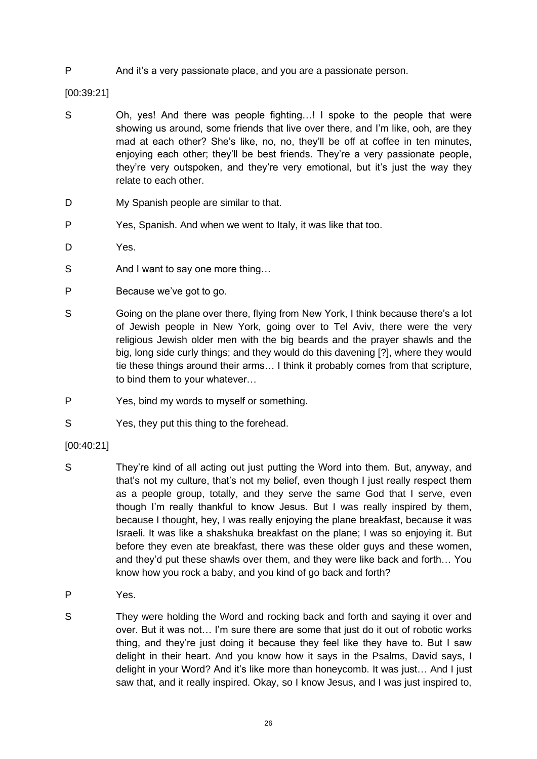P And it's a very passionate place, and you are a passionate person.

[00:39:21]

- S Oh, yes! And there was people fighting...! I spoke to the people that were showing us around, some friends that live over there, and I'm like, ooh, are they mad at each other? She's like, no, no, they'll be off at coffee in ten minutes, enjoying each other; they'll be best friends. They're a very passionate people, they're very outspoken, and they're very emotional, but it's just the way they relate to each other.
- D My Spanish people are similar to that.
- P Yes, Spanish. And when we went to Italy, it was like that too.
- D<sub>Yes.</sub>
- S And I want to say one more thing...
- P Because we've got to go.
- S Going on the plane over there, flying from New York, I think because there's a lot of Jewish people in New York, going over to Tel Aviv, there were the very religious Jewish older men with the big beards and the prayer shawls and the big, long side curly things; and they would do this davening [?], where they would tie these things around their arms… I think it probably comes from that scripture, to bind them to your whatever…
- P Yes, bind my words to myself or something.
- S Yes, they put this thing to the forehead.
- [00:40:21]
- S They're kind of all acting out just putting the Word into them. But, anyway, and that's not my culture, that's not my belief, even though I just really respect them as a people group, totally, and they serve the same God that I serve, even though I'm really thankful to know Jesus. But I was really inspired by them, because I thought, hey, I was really enjoying the plane breakfast, because it was Israeli. It was like a shakshuka breakfast on the plane; I was so enjoying it. But before they even ate breakfast, there was these older guys and these women, and they'd put these shawls over them, and they were like back and forth… You know how you rock a baby, and you kind of go back and forth?
- P Yes.
- S They were holding the Word and rocking back and forth and saying it over and over. But it was not… I'm sure there are some that just do it out of robotic works thing, and they're just doing it because they feel like they have to. But I saw delight in their heart. And you know how it says in the Psalms, David says, I delight in your Word? And it's like more than honeycomb. It was just… And I just saw that, and it really inspired. Okay, so I know Jesus, and I was just inspired to,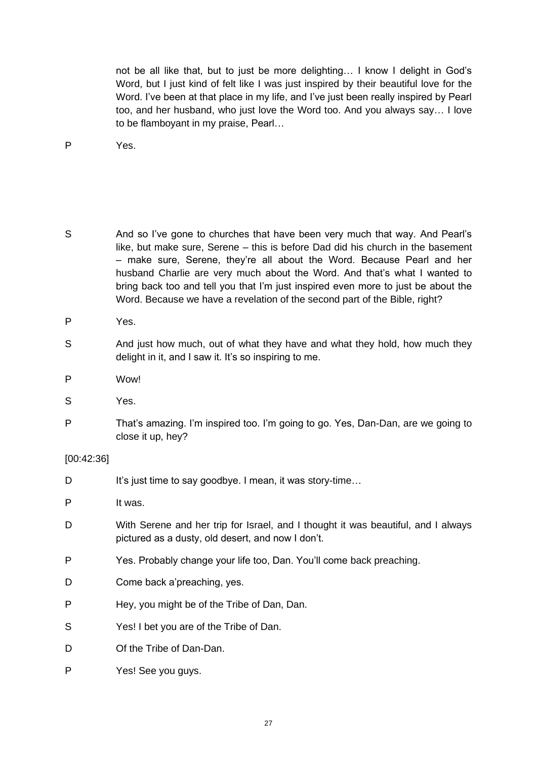not be all like that, but to just be more delighting… I know I delight in God's Word, but I just kind of felt like I was just inspired by their beautiful love for the Word. I've been at that place in my life, and I've just been really inspired by Pearl too, and her husband, who just love the Word too. And you always say… I love to be flamboyant in my praise, Pearl…

P Yes.

S And so I've gone to churches that have been very much that way. And Pearl's like, but make sure, Serene – this is before Dad did his church in the basement – make sure, Serene, they're all about the Word. Because Pearl and her husband Charlie are very much about the Word. And that's what I wanted to bring back too and tell you that I'm just inspired even more to just be about the Word. Because we have a revelation of the second part of the Bible, right?

P Yes.

- S And just how much, out of what they have and what they hold, how much they delight in it, and I saw it. It's so inspiring to me.
- P Wow!
- S Yes.
- P That's amazing. I'm inspired too. I'm going to go. Yes, Dan-Dan, are we going to close it up, hey?

## [00:42:36]

D It's just time to say goodbye. I mean, it was story-time...

P It was.

- D With Serene and her trip for Israel, and I thought it was beautiful, and I always pictured as a dusty, old desert, and now I don't.
- P Yes. Probably change your life too, Dan. You'll come back preaching.
- D Come back a'preaching, yes.
- P Hey, you might be of the Tribe of Dan, Dan.
- S Yes! I bet you are of the Tribe of Dan.
- D Of the Tribe of Dan-Dan.
- P Yes! See you guys.